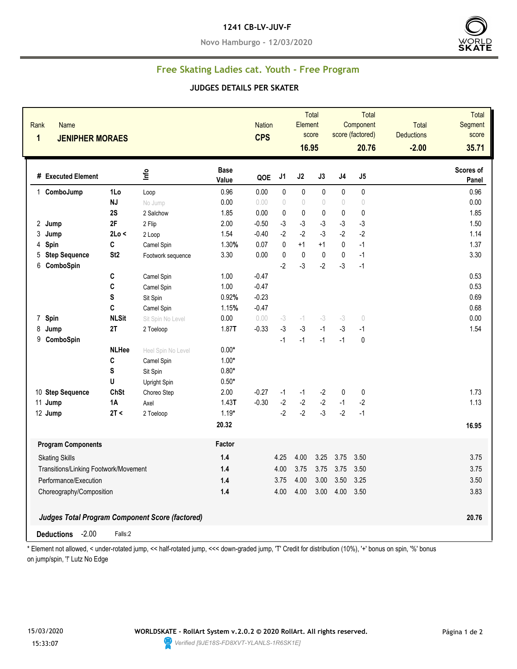#### **1241 CB-LV-JUV-F**

**Novo Hamburgo - 12/03/2020**



## **Free Skating Ladies cat. Youth - Free Program**

#### **JUDGES DETAILS PER SKATER**

| Rank<br><b>Name</b><br>$\mathbf{1}$<br><b>JENIPHER MORAES</b> |                 |                                                        |                      | <b>Nation</b><br><b>CPS</b> |                                  | <b>Total</b><br>Element<br>score<br>16.95 |              |                | Total<br>Component<br>score (factored)<br>20.76 | <b>Total</b><br><b>Deductions</b><br>$-2.00$ | <b>Total</b><br>Segment<br>score<br>35.71 |
|---------------------------------------------------------------|-----------------|--------------------------------------------------------|----------------------|-----------------------------|----------------------------------|-------------------------------------------|--------------|----------------|-------------------------------------------------|----------------------------------------------|-------------------------------------------|
| # Executed Element                                            |                 | Info                                                   | <b>Base</b><br>Value | QOE                         | J1                               | J2                                        | J3           | J <sub>4</sub> | J5                                              |                                              | Scores of<br>Panel                        |
| ComboJump<br>$\mathbf 1$                                      | 1Lo             | Loop                                                   | 0.96                 | 0.00                        | 0                                | 0                                         | $\mathbf{0}$ | $\mathbf{0}$   | 0                                               |                                              | 0.96                                      |
|                                                               | <b>NJ</b>       | No Jump                                                | 0.00                 | 0.00                        | $\begin{array}{c} \n\end{array}$ | $\begin{array}{c} \n\end{array}$          | 0            | $\sqrt{ }$     | $\circ$                                         |                                              | 0.00                                      |
|                                                               | 2S              | 2 Salchow                                              | 1.85                 | 0.00                        | 0                                | $\mathbf 0$                               | 0            | 0              | 0                                               |                                              | 1.85                                      |
| 2 Jump                                                        | 2F              | 2 Flip                                                 | 2.00                 | $-0.50$                     | $-3$                             | $-3$                                      | $-3$         | $-3$           | -3                                              |                                              | 1.50                                      |
| 3<br>Jump                                                     | 2Lo <           | 2 Loop                                                 | 1.54                 | $-0.40$                     | $-2$                             | $-2$                                      | $-3$         | $-2$           | $-2$                                            |                                              | 1.14                                      |
| 4<br>Spin                                                     | C               | Camel Spin                                             | 1.30%                | 0.07                        | $\pmb{0}$                        | $+1$                                      | $+1$         | $\mathbf 0$    | $-1$                                            |                                              | 1.37                                      |
| 5<br><b>Step Sequence</b>                                     | St <sub>2</sub> | Footwork sequence                                      | 3.30                 | 0.00                        | 0                                | $\pmb{0}$                                 | $\pmb{0}$    | $\pmb{0}$      | $-1$                                            |                                              | 3.30                                      |
| 6<br>ComboSpin                                                |                 |                                                        |                      |                             | $-2$                             | $-3$                                      | $-2$         | $-3$           | $-1$                                            |                                              |                                           |
|                                                               | $\mathbf{C}$    | Camel Spin                                             | 1.00                 | $-0.47$                     |                                  |                                           |              |                |                                                 |                                              | 0.53                                      |
|                                                               | C               | Camel Spin                                             | 1.00                 | $-0.47$                     |                                  |                                           |              |                |                                                 |                                              | 0.53                                      |
|                                                               | S               | Sit Spin                                               | 0.92%                | $-0.23$                     |                                  |                                           |              |                |                                                 |                                              | 0.69                                      |
|                                                               | C               | Camel Spin                                             | 1.15%                | $-0.47$                     |                                  |                                           |              |                |                                                 |                                              | 0.68                                      |
| Spin<br>$\overline{7}$                                        | <b>NLSit</b>    | Sit Spin No Level                                      | 0.00                 | 0.00                        | $-3$                             | $-1$                                      | $-3$         | $-3$           | $\circ$                                         |                                              | 0.00                                      |
| 8<br>Jump                                                     | 2T              | 2 Toeloop                                              | 1.87T                | $-0.33$                     | $-3$                             | $-3$                                      | $-1$         | $-3$           | $-1$                                            |                                              | 1.54                                      |
| 9 ComboSpin                                                   |                 |                                                        |                      |                             | $-1$                             | $-1$                                      | $-1$         | $-1$           | $\pmb{0}$                                       |                                              |                                           |
|                                                               | <b>NLHee</b>    | Heel Spin No Level                                     | $0.00*$              |                             |                                  |                                           |              |                |                                                 |                                              |                                           |
|                                                               | C               | Camel Spin                                             | $1.00*$              |                             |                                  |                                           |              |                |                                                 |                                              |                                           |
|                                                               | S               | Sit Spin                                               | $0.80*$              |                             |                                  |                                           |              |                |                                                 |                                              |                                           |
|                                                               | U               | Upright Spin                                           | $0.50*$              |                             |                                  |                                           |              |                |                                                 |                                              |                                           |
| 10 Step Sequence                                              | <b>ChSt</b>     | Choreo Step                                            | 2.00                 | $-0.27$                     | $-1$                             | $-1$                                      | $-2$         | 0              | $\pmb{0}$                                       |                                              | 1.73                                      |
| 11 Jump                                                       | <b>1A</b>       | Axel                                                   | 1.43T                | $-0.30$                     | $-2$                             | $-2$                                      | $-2$         | $-1$           | $-2$                                            |                                              | 1.13                                      |
| 12 Jump                                                       | 2T <            | 2 Toeloop                                              | $1.19*$              |                             | $-2$                             | $-2$                                      | $-3$         | $-2$           | $-1$                                            |                                              |                                           |
|                                                               |                 |                                                        | 20.32                |                             |                                  |                                           |              |                |                                                 |                                              | 16.95                                     |
| <b>Program Components</b>                                     |                 |                                                        | Factor               |                             |                                  |                                           |              |                |                                                 |                                              |                                           |
| <b>Skating Skills</b>                                         |                 |                                                        | 1.4                  |                             | 4.25                             | 4.00                                      | 3.25         | 3.75           | 3.50                                            |                                              | 3.75                                      |
| Transitions/Linking Footwork/Movement                         |                 |                                                        | 1.4                  |                             | 4.00                             | 3.75                                      | 3.75         | 3.75           | 3.50                                            |                                              | 3.75                                      |
| Performance/Execution                                         |                 |                                                        | 1.4                  |                             | 3.75                             | 4.00                                      | 3.00         | 3.50           | 3.25                                            |                                              | 3.50                                      |
| Choreography/Composition                                      |                 |                                                        | 1.4                  |                             | 4.00                             | 4.00                                      | 3.00         | 4.00           | 3.50                                            |                                              | 3.83                                      |
|                                                               |                 |                                                        |                      |                             |                                  |                                           |              |                |                                                 |                                              |                                           |
|                                                               |                 | <b>Judges Total Program Component Score (factored)</b> |                      |                             |                                  |                                           |              |                |                                                 |                                              | 20.76                                     |
| $-2.00$<br><b>Deductions</b>                                  | Falls:2         |                                                        |                      |                             |                                  |                                           |              |                |                                                 |                                              |                                           |

\* Element not allowed, < under-rotated jump, << half-rotated jump, <<< down-graded jump, 'T' Credit for distribution (10%), '+' bonus on spin, '%' bonus on jump/spin, "!' Lutz No Edge